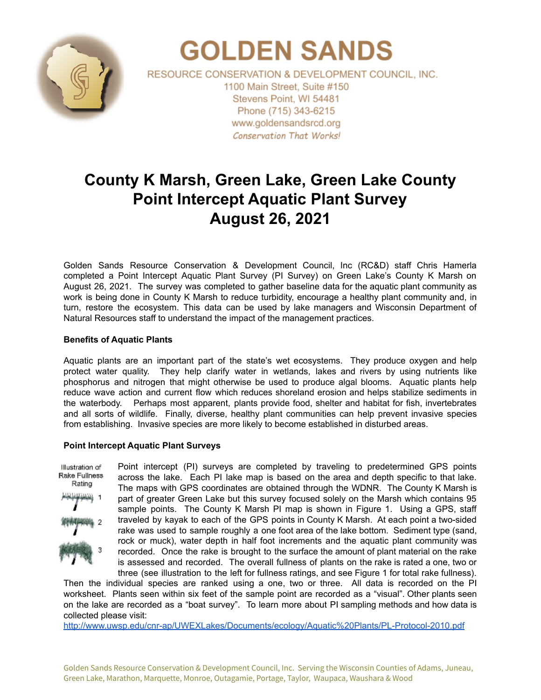

# **GOLDEN SANDS**

RESOURCE CONSERVATION & DEVELOPMENT COUNCIL, INC. 1100 Main Street, Suite #150 Stevens Point, WI 54481 Phone (715) 343-6215 www.goldensandsrcd.org **Conservation That Works!** 

# **County K Marsh, Green Lake, Green Lake County Point Intercept Aquatic Plant Survey August 26, 2021**

Golden Sands Resource Conservation & Development Council, Inc (RC&D) staff Chris Hamerla completed a Point Intercept Aquatic Plant Survey (PI Survey) on Green Lake's County K Marsh on August 26, 2021. The survey was completed to gather baseline data for the aquatic plant community as work is being done in County K Marsh to reduce turbidity, encourage a healthy plant community and, in turn, restore the ecosystem. This data can be used by lake managers and Wisconsin Department of Natural Resources staff to understand the impact of the management practices.

# **Benefits of Aquatic Plants**

Aquatic plants are an important part of the state's wet ecosystems. They produce oxygen and help protect water quality. They help clarify water in wetlands, lakes and rivers by using nutrients like phosphorus and nitrogen that might otherwise be used to produce algal blooms. Aquatic plants help reduce wave action and current flow which reduces shoreland erosion and helps stabilize sediments in the waterbody. Perhaps most apparent, plants provide food, shelter and habitat for fish, invertebrates and all sorts of wildlife. Finally, diverse, healthy plant communities can help prevent invasive species from establishing. Invasive species are more likely to become established in disturbed areas.

# **Point Intercept Aquatic Plant Surveys**



Point intercept (PI) surveys are completed by traveling to predetermined GPS points across the lake. Each PI lake map is based on the area and depth specific to that lake. The maps with GPS coordinates are obtained through the WDNR. The County K Marsh is part of greater Green Lake but this survey focused solely on the Marsh which contains 95 sample points. The County K Marsh PI map is shown in Figure 1. Using a GPS, staff traveled by kayak to each of the GPS points in County K Marsh. At each point a two-sided rake was used to sample roughly a one foot area of the lake bottom. Sediment type (sand, rock or muck), water depth in half foot increments and the aquatic plant community was recorded. Once the rake is brought to the surface the amount of plant material on the rake is assessed and recorded. The overall fullness of plants on the rake is rated a one, two or three (see illustration to the left for fullness ratings, and see Figure 1 for total rake fullness).

Then the individual species are ranked using a one, two or three. All data is recorded on the PI worksheet. Plants seen within six feet of the sample point are recorded as a "visual". Other plants seen on the lake are recorded as a "boat survey". To learn more about PI sampling methods and how data is collected please visit:

<http://www.uwsp.edu/cnr-ap/UWEXLakes/Documents/ecology/Aquatic%20Plants/PL-Protocol-2010.pdf>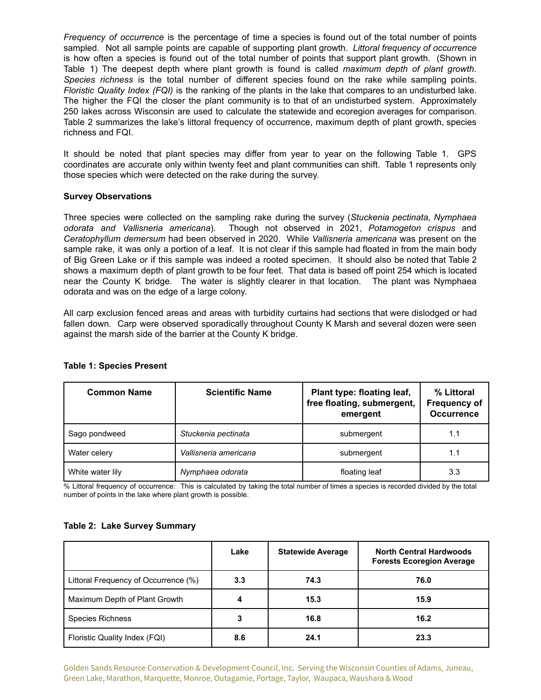*Frequency of occurrence* is the percentage of time a species is found out of the total number of points sampled. Not all sample points are capable of supporting plant growth. *Littoral frequency of occurrence* is how often a species is found out of the total number of points that support plant growth. (Shown in Table 1) The deepest depth where plant growth is found is called *maximum depth of plant growth*. *Species richness* is the total number of different species found on the rake while sampling points. *Floristic Quality Index (FQI)* is the ranking of the plants in the lake that compares to an undisturbed lake. The higher the FQI the closer the plant community is to that of an undisturbed system. Approximately 250 lakes across Wisconsin are used to calculate the statewide and ecoregion averages for comparison. Table 2 summarizes the lake's littoral frequency of occurrence, maximum depth of plant growth, species richness and FQI.

It should be noted that plant species may differ from year to year on the following Table 1. GPS coordinates are accurate only within twenty feet and plant communities can shift. Table 1 represents only those species which were detected on the rake during the survey.

### **Survey Observations**

Three species were collected on the sampling rake during the survey (*Stuckenia pectinata, Nymphaea odorata and Vallisneria americana*). Though not observed in 2021, *Potamogeton crispus* and *Ceratophyllum demersum* had been observed in 2020. While *Vallisneria americana* was present on the sample rake, it was only a portion of a leaf. It is not clear if this sample had floated in from the main body of Big Green Lake or if this sample was indeed a rooted specimen. It should also be noted that Table 2 shows a maximum depth of plant growth to be four feet. That data is based off point 254 which is located near the County K bridge. The water is slightly clearer in that location. The plant was Nymphaea odorata and was on the edge of a large colony.

All carp exclusion fenced areas and areas with turbidity curtains had sections that were dislodged or had fallen down. Carp were observed sporadically throughout County K Marsh and several dozen were seen against the marsh side of the barrier at the County K bridge.

| <b>Common Name</b> | <b>Scientific Name</b> | Plant type: floating leaf,<br>free floating, submergent,<br>emergent | % Littoral<br><b>Frequency of</b><br><b>Occurrence</b> |
|--------------------|------------------------|----------------------------------------------------------------------|--------------------------------------------------------|
| Sago pondweed      | Stuckenia pectinata    | submergent                                                           | 1.1                                                    |
| Water celery       | Vallisneria americana  | submergent                                                           | 1.1                                                    |
| White water lily   | Nymphaea odorata       | floating leaf                                                        | 3.3                                                    |

#### **Table 1: Species Present**

% Littoral frequency of occurrence: This is calculated by taking the total number of times a species is recorded divided by the total number of points in the lake where plant growth is possible.

#### **Table 2: Lake Survey Summary**

|                                      | Lake | <b>Statewide Average</b> | <b>North Central Hardwoods</b><br><b>Forests Ecoregion Average</b> |
|--------------------------------------|------|--------------------------|--------------------------------------------------------------------|
| Littoral Frequency of Occurrence (%) | 3.3  | 74.3                     | 76.0                                                               |
| Maximum Depth of Plant Growth        | 4    | 15.3                     | 15.9                                                               |
| <b>Species Richness</b>              | 3    | 16.8                     | 16.2                                                               |
| Floristic Quality Index (FQI)        | 8.6  | 24.1                     | 23.3                                                               |

Golden Sands Resource Conservation & Development Council, Inc. Serving the Wisconsin Counties of Adams, Juneau, Green Lake, Marathon, Marquette, Monroe, Outagamie, Portage, Taylor, Waupaca, Waushara & Wood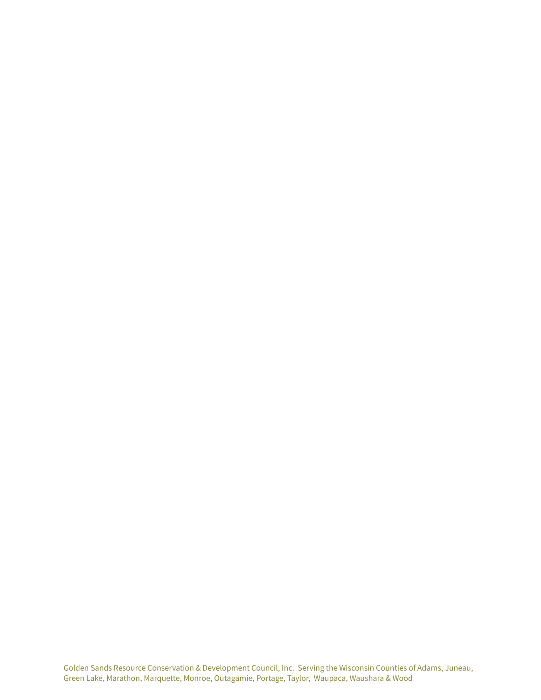Golden Sands Resource Conservation & Development Council, Inc. Serving the Wisconsin Counties of Adams, Juneau, Green Lake, Marathon, Marquette, Monroe, Outagamie, Portage, Taylor, Waupaca, Waushara & Wood